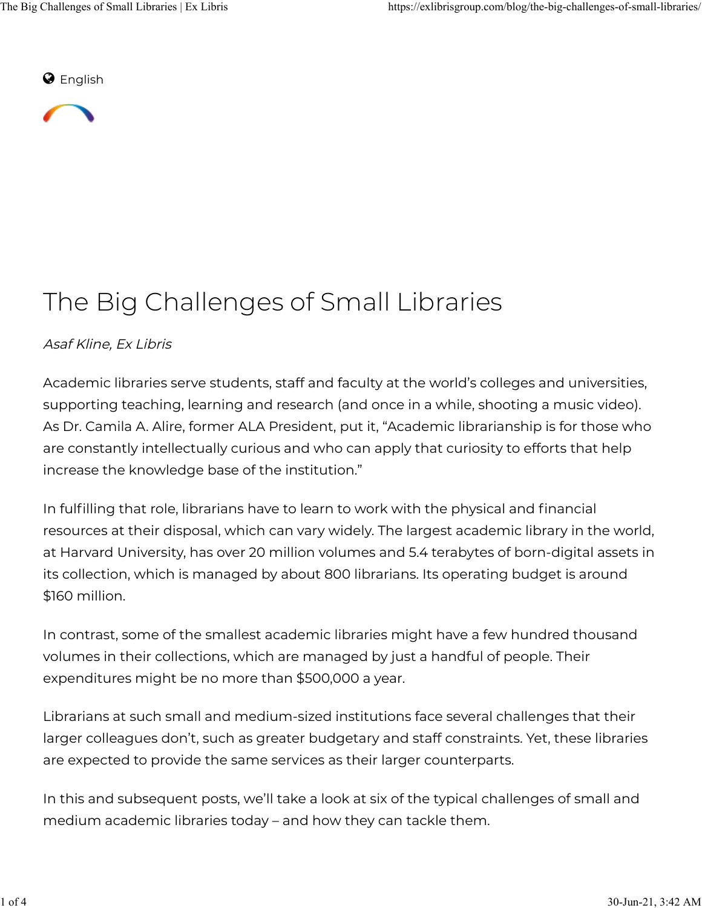$\odot$  English



# The Big Challenges of Small Libraries

#### Asaf Kline, Ex Libris

Academic libraries serve students, staff and faculty at the world's colleges and universities, supporting teaching, learning and research (and once in a while, shooting a music video). As Dr. Camila A. Alire, former ALA President, put it, "Academic librarianship is for those who are constantly intellectually curious and who can apply that curiosity to efforts that help increase the knowledge base of the institution."

In fulfilling that role, librarians have to learn to work with the physical and financial resources at their disposal, which can vary widely. The largest academic library in the world, at Harvard University, has over 20 million volumes and 5.4 terabytes of born-digital assets in its collection, which is managed by about 800 librarians. Its operating budget is around \$160 million.

In contrast, some of the smallest academic libraries might have a few hundred thousand volumes in their collections, which are managed by just a handful of people. Their expenditures might be no more than \$500,000 a year.

Librarians at such small and medium-sized institutions face several challenges that their larger colleagues don't, such as greater budgetary and staff constraints. Yet, these libraries are expected to provide the same services as their larger counterparts.

In this and subsequent posts, we'll take a look at six of the typical challenges of small and medium academic libraries today – and how they can tackle them.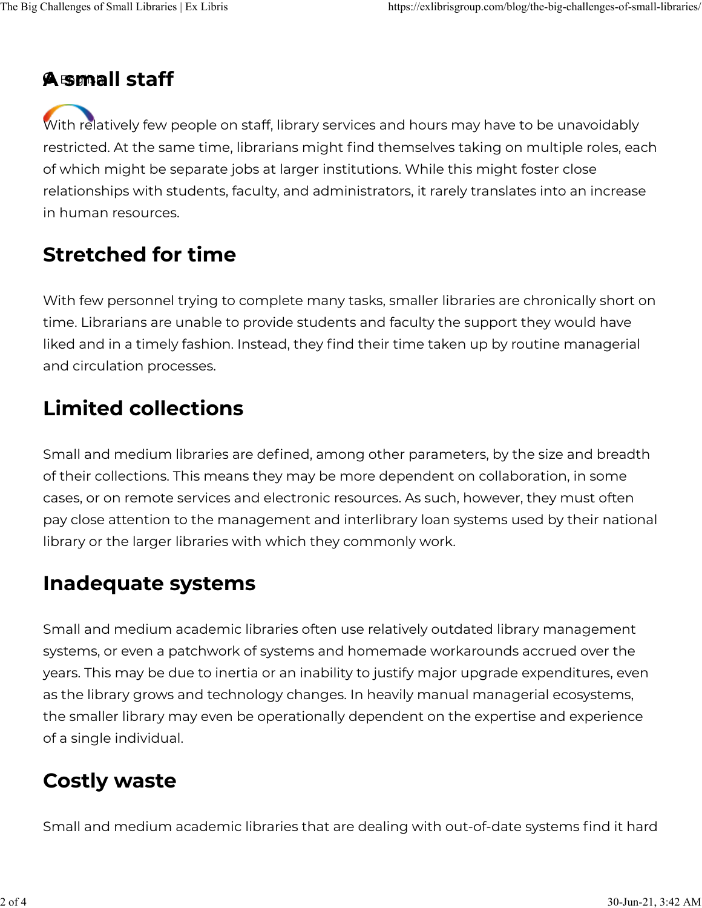#### A small staff

With relatively few people on staff, library services and hours may have to be unavoidably restricted. At the same time, librarians might find themselves taking on multiple roles, each of which might be separate jobs at larger institutions. While this might foster close relationships with students, faculty, and administrators, it rarely translates into an increase in human resources.

#### Stretched for time

With few personnel trying to complete many tasks, smaller libraries are chronically short on time. Librarians are unable to provide students and faculty the support they would have liked and in a timely fashion. Instead, they find their time taken up by routine managerial and circulation processes.

#### Limited collections

Small and medium libraries are defined, among other parameters, by the size and breadth of their collections. This means they may be more dependent on collaboration, in some cases, or on remote services and electronic resources. As such, however, they must often pay close attention to the management and interlibrary loan systems used by their national library or the larger libraries with which they commonly work.

#### Inadequate systems

Small and medium academic libraries often use relatively outdated library management systems, or even a patchwork of systems and homemade workarounds accrued over the years. This may be due to inertia or an inability to justify major upgrade expenditures, even as the library grows and technology changes. In heavily manual managerial ecosystems, the smaller library may even be operationally dependent on the expertise and experience of a single individual.

### Costly waste

Small and medium academic libraries that are dealing with out-of-date systems find it hard